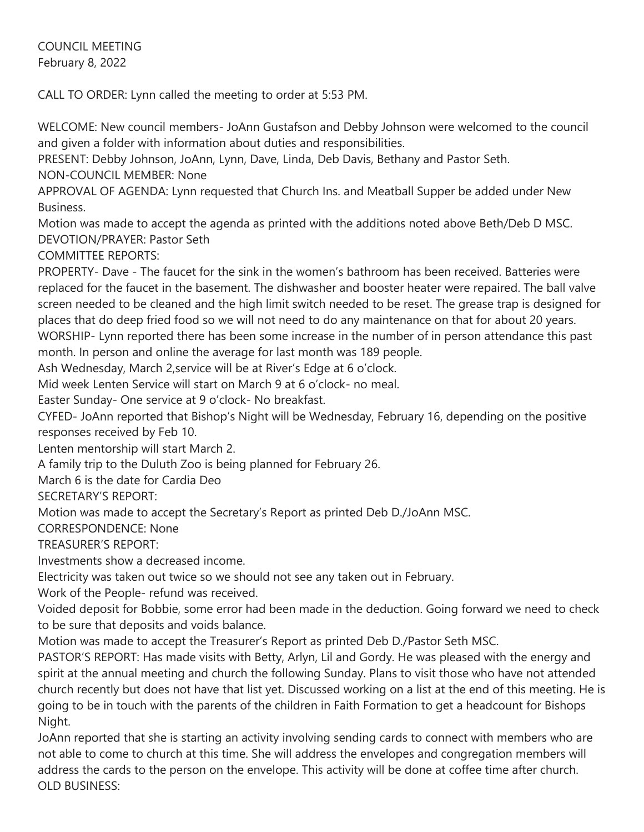COUNCIL MEETING February 8, 2022

CALL TO ORDER: Lynn called the meeting to order at 5:53 PM.

WELCOME: New council members- JoAnn Gustafson and Debby Johnson were welcomed to the council and given a folder with information about duties and responsibilities.

PRESENT: Debby Johnson, JoAnn, Lynn, Dave, Linda, Deb Davis, Bethany and Pastor Seth.

NON-COUNCIL MEMBER: None

APPROVAL OF AGENDA: Lynn requested that Church Ins. and Meatball Supper be added under New Business.

Motion was made to accept the agenda as printed with the additions noted above Beth/Deb D MSC. DEVOTION/PRAYER: Pastor Seth

COMMITTEE REPORTS:

PROPERTY- Dave - The faucet for the sink in the women's bathroom has been received. Batteries were replaced for the faucet in the basement. The dishwasher and booster heater were repaired. The ball valve screen needed to be cleaned and the high limit switch needed to be reset. The grease trap is designed for places that do deep fried food so we will not need to do any maintenance on that for about 20 years. WORSHIP- Lynn reported there has been some increase in the number of in person attendance this past month. In person and online the average for last month was 189 people.

Ash Wednesday, March 2,service will be at River's Edge at 6 o'clock.

Mid week Lenten Service will start on March 9 at 6 o'clock- no meal.

Easter Sunday- One service at 9 o'clock- No breakfast.

CYFED- JoAnn reported that Bishop's Night will be Wednesday, February 16, depending on the positive responses received by Feb 10.

Lenten mentorship will start March 2.

A family trip to the Duluth Zoo is being planned for February 26.

March 6 is the date for Cardia Deo

SECRETARY'S REPORT:

Motion was made to accept the Secretary's Report as printed Deb D./JoAnn MSC.

CORRESPONDENCE: None

TREASURER'S REPORT:

Investments show a decreased income.

Electricity was taken out twice so we should not see any taken out in February.

Work of the People- refund was received.

Voided deposit for Bobbie, some error had been made in the deduction. Going forward we need to check to be sure that deposits and voids balance.

Motion was made to accept the Treasurer's Report as printed Deb D./Pastor Seth MSC.

PASTOR'S REPORT: Has made visits with Betty, Arlyn, Lil and Gordy. He was pleased with the energy and spirit at the annual meeting and church the following Sunday. Plans to visit those who have not attended church recently but does not have that list yet. Discussed working on a list at the end of this meeting. He is going to be in touch with the parents of the children in Faith Formation to get a headcount for Bishops Night.

JoAnn reported that she is starting an activity involving sending cards to connect with members who are not able to come to church at this time. She will address the envelopes and congregation members will address the cards to the person on the envelope. This activity will be done at coffee time after church. OLD BUSINESS: